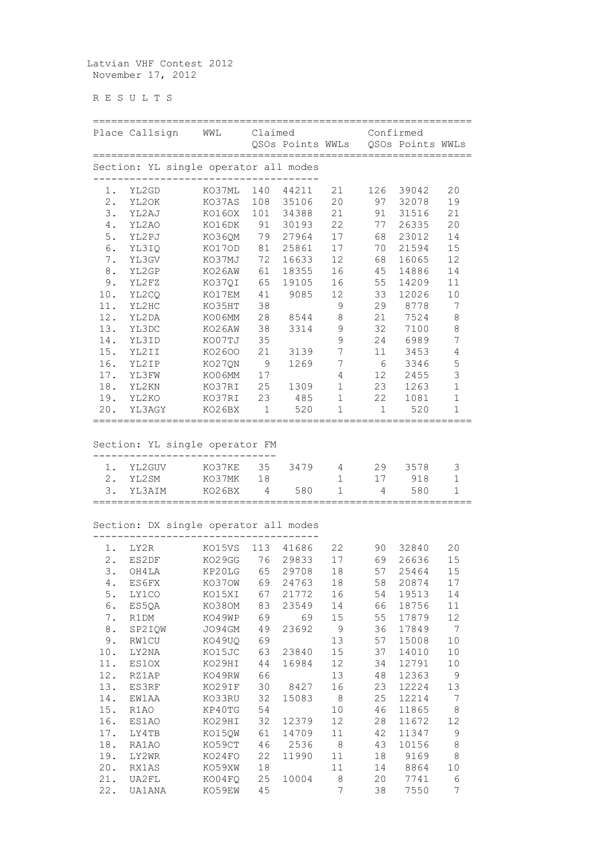Latvian VHF Contest 2012 November 17, 2012

R E S U L T S

|                                       | Place Callsign            | WML                        | Claimed       | QSOs Points WWLs |                |                 | Confirmed<br>QSOs Points WWLs |                                  |
|---------------------------------------|---------------------------|----------------------------|---------------|------------------|----------------|-----------------|-------------------------------|----------------------------------|
| Section: YL single operator all modes |                           |                            |               |                  |                |                 |                               |                                  |
| 1.                                    | YL2GD                     | KO37ML                     | 140           | 44211            | 21             | 126             | 39042                         | 20                               |
| $2$ .                                 | YL2OK                     | KO37AS                     | 108           | 35106            | 20             | 97              | 32078                         | 19                               |
| 3.                                    | YL2AJ                     | KO16OX                     | 101           | 34388            | 21             | 91              | 31516                         | 21                               |
| 4.                                    | YL2AO                     | KO16DK                     | 91            | 30193            | 22             | 77              | 26335                         | 20                               |
| $5$ .                                 | YL2PJ                     | KO36QM                     | 79            | 27964            | 17             | 68              | 23012                         | 14                               |
| 6.                                    | YL3IQ                     | KO17OD                     | 81            | 25861            | 17             | 70              | 21594                         | 15                               |
| $7$ .                                 | YL3GV                     | KO37MJ                     | 72            | 16633            | 12             | 68              | 16065                         | 12                               |
| $\,8$ .                               | YL2GP                     | KO26AW                     | 61            | 18355            | 16             | 45              | 14886                         | 14                               |
| 9.                                    | YL2FZ                     | KO37QI                     | 65            | 19105            | 16             | 55              | 14209                         | $11\,$                           |
| 10.                                   | YL2CQ                     | KO17EM                     | 41            | 9085             | 12             | 33              | 12026                         | $10$                             |
| 11.                                   | YL2HC                     | KO35HT                     | 38            |                  | 9              | 29              | 8778                          | 7                                |
| 12.                                   | YL2DA                     | KO06MM                     | 28            | 8544             | $8\,$          | 21              | 7524                          | $\,8\,$                          |
| 13.                                   | YL3DC                     | KO26AW                     | 38            | 3314             | 9              | 32              | 7100                          | $\,8\,$                          |
| 14.                                   | YL3ID                     | KO07TJ                     | 35            |                  | $\mathsf 9$    | 24              | 6989                          | $\boldsymbol{7}$                 |
| 15.                                   | YL2II                     | K02600                     | 21            | 3139             | $\overline{7}$ | 11              | 3453                          | $\sqrt{4}$                       |
| 16.                                   | YL2IP                     | KO27QN                     | 9             | 1269             | 7              | 6               | 3346                          | 5                                |
| 17.                                   | YL3FW                     | KO06MM                     | 17            |                  | $\overline{4}$ | 12 <sup>°</sup> | 2455                          | 3                                |
| 18.                                   | YL2KN                     | KO37RI                     | 25            | 1309             | $\mathbf 1$    | 23              | 1263                          | $\mathbf{1}$                     |
| 19.                                   | YL2KO                     | KO37RI                     | 23            | 485              | $\mathbf 1$    | 22              | 1081                          | $1\,$                            |
| 20.                                   | YL3AGY                    | KO26BX                     | $\mathbf 1$   | 520              | $\mathbf 1$    | $\mathbf 1$     | 520                           | $\mathbf{1}$                     |
| 1.<br>$2$ .<br>3.                     | YL2GUV<br>YL2SM<br>YL3AIM | KO37KE<br>KO37MK<br>KO26BX | 35<br>18<br>4 | 3479<br>580      | 4<br>1<br>1    | 29<br>17<br>4   | 3578<br>918<br>580            | 3<br>$\mathbf 1$<br>$\mathbf{1}$ |
| Section: DX single operator all modes |                           |                            |               |                  |                |                 |                               |                                  |
| $1$ .                                 | LY2R                      | KO15VS                     | 113           | 41686            | 22             | 90              | 32840                         | 20                               |
| 2.                                    | ES2DF                     | KO29GG                     | 76            | 29833            | 17             | 69              | 26636                         | 15                               |
|                                       | 3. OH4LA                  | KP20LG 65 29708            |               |                  | 18             | 57              | 25464                         | 15                               |
| 4.                                    | ES6FX                     | KO370W                     | 69            | 24763            | 18             | 58              | 20874                         | 17                               |
| $5$ .                                 | LY1CO                     | KO15XI                     | 67            | 21772            | 16             | 54              | 19513                         | 14                               |
| 6.                                    | ES5QA                     | KO38OM                     | 83            | 23549            | 14             | 66              | 18756                         | 11                               |
| $7$ .                                 | R1DM                      | KO49WP                     | 69            | 69               | 15             | 55              | 17879                         | 12                               |
| $\bf 8$ .                             | SP2IQW                    | JO94GM                     | 49            | 23692            | 9              | 36              | 17849                         | $\boldsymbol{7}$                 |
| 9.                                    | RW1CU                     | KO49UQ                     | 69            |                  | 13             | 57              | 15008                         | $1\,0$                           |
| 10.                                   | LY2NA                     | KO15JC                     | 63            | 23840            | 15             | 37              | 14010                         | 10                               |
| 11.                                   | ES10X                     | KO29HI                     | 44            | 16984            | 12             | 34              | 12791                         | 10                               |
| 12.                                   | RZ1AP                     | KO49RW                     | 66            |                  | 13             | 48              | 12363                         | 9                                |
| 13.                                   | ES3RF                     | KO29IF                     | 30            | 8427             | 16             | 23              | 12224                         | 13                               |
| 14.                                   | EW1AA                     | KO33RU                     | 32            | 15083            | $\,8\,$        | 25              | 12214                         | 7                                |
| 15.                                   | R1AO                      | KP40TG                     | 54            |                  | 10             | 46              | 11865                         | $\,8\,$                          |
| 16.                                   | ES1AO                     | KO29HI                     | 32            | 12379            | 12             | 28              | 11672                         | 12                               |
| 17.                                   | LY4TB                     | KO15QW                     | 61            | 14709            | 11             | 42              | 11347                         | 9                                |
| 18.                                   | RA1AO                     | KO59CT                     | 46            | 2536             | $8\,$          | 43              | 10156                         | $\,8\,$                          |
| 19.                                   | LY2WR                     | KO24FO                     | 22            | 11990            | 11             | 18              | 9169                          | $\,8\,$                          |
| 20.                                   | RX1AS                     | KO59XW                     | 18            |                  | 11             | 14              | 8864                          | 10                               |
| 21.                                   | UA2FL                     | KO04FQ                     | 25            | 10004            | 8              | 20              | 7741                          | 6                                |
| 22.                                   | UA1ANA                    | KO59EW                     | 45            |                  | 7              | 38              | 7550                          | 7                                |